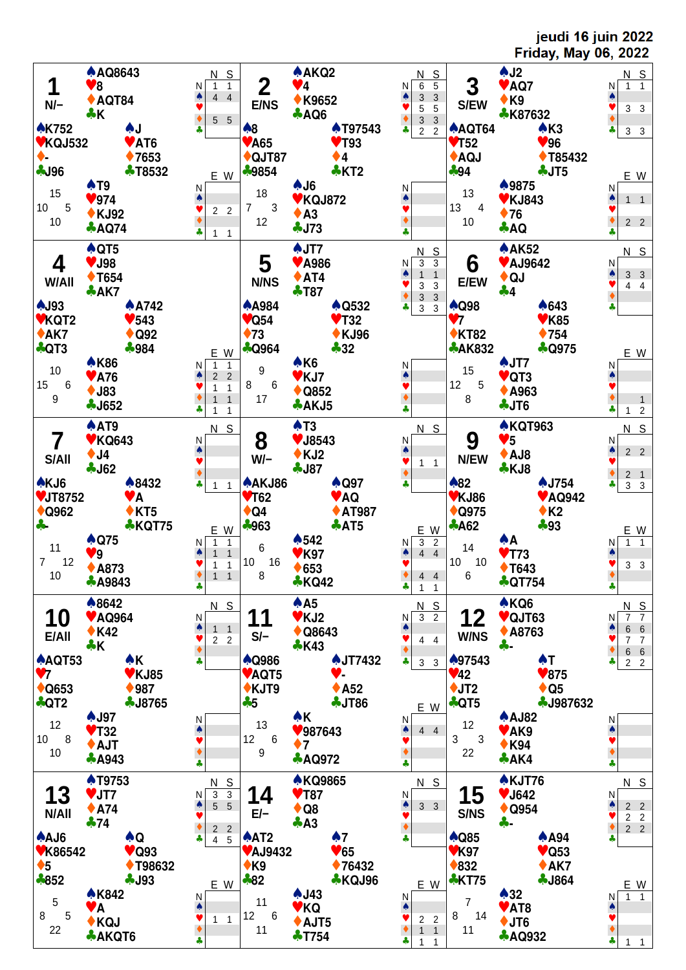jeudi 16 juin 2022 **Friday, May 06, 2022**